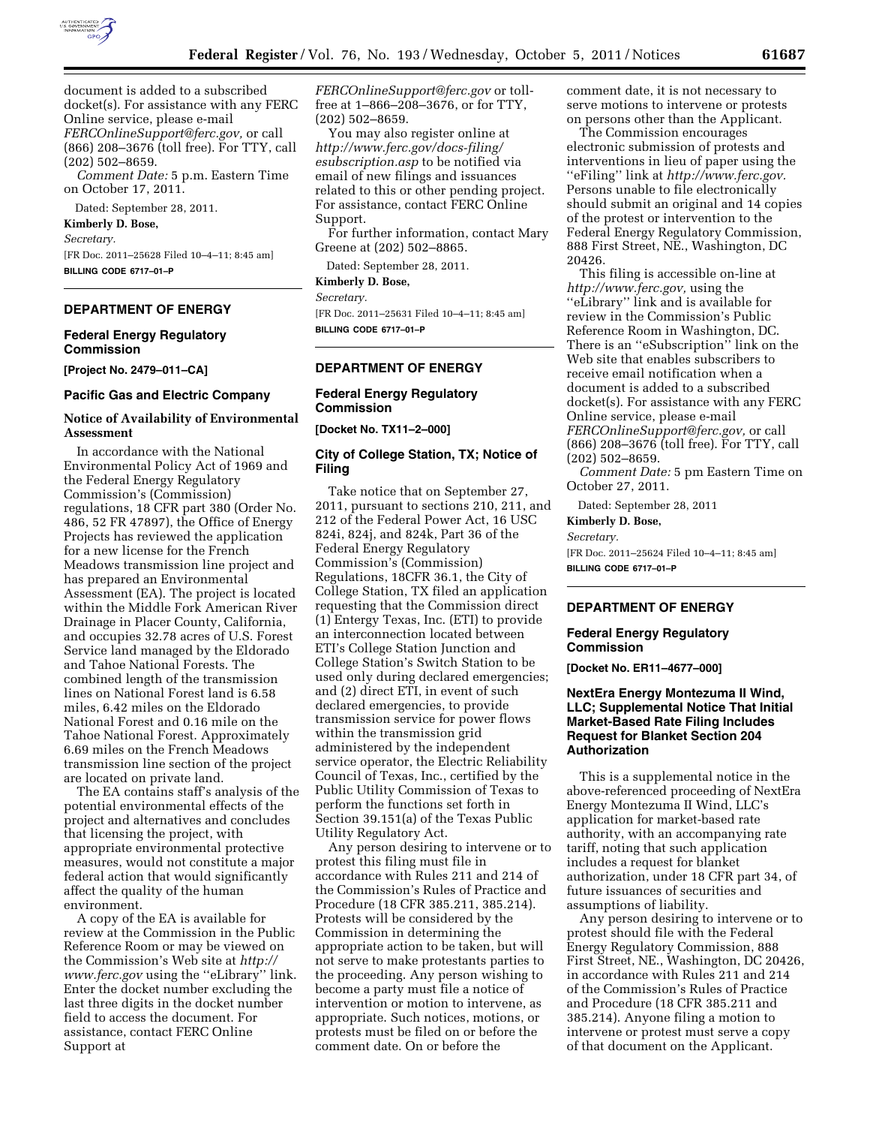

document is added to a subscribed docket(s). For assistance with any FERC Online service, please e-mail *[FERCOnlineSupport@ferc.gov,](mailto:FERCOnlineSupport@ferc.gov)* or call (866) 208–3676 (toll free). For TTY, call (202) 502–8659.

*Comment Date:* 5 p.m. Eastern Time on October 17, 2011.

Dated: September 28, 2011.

# **Kimberly D. Bose,**

*Secretary.* 

[FR Doc. 2011–25628 Filed 10–4–11; 8:45 am] **BILLING CODE 6717–01–P** 

#### **DEPARTMENT OF ENERGY**

#### **Federal Energy Regulatory Commission**

**[Project No. 2479–011–CA]** 

### **Pacific Gas and Electric Company**

### **Notice of Availability of Environmental Assessment**

In accordance with the National Environmental Policy Act of 1969 and the Federal Energy Regulatory Commission's (Commission) regulations, 18 CFR part 380 (Order No. 486, 52 FR 47897), the Office of Energy Projects has reviewed the application for a new license for the French Meadows transmission line project and has prepared an Environmental Assessment (EA). The project is located within the Middle Fork American River Drainage in Placer County, California, and occupies 32.78 acres of U.S. Forest Service land managed by the Eldorado and Tahoe National Forests. The combined length of the transmission lines on National Forest land is 6.58 miles, 6.42 miles on the Eldorado National Forest and 0.16 mile on the Tahoe National Forest. Approximately 6.69 miles on the French Meadows transmission line section of the project are located on private land.

The EA contains staff's analysis of the potential environmental effects of the project and alternatives and concludes that licensing the project, with appropriate environmental protective measures, would not constitute a major federal action that would significantly affect the quality of the human environment.

A copy of the EA is available for review at the Commission in the Public Reference Room or may be viewed on the Commission's Web site at *[http://](http://www.ferc.gov) [www.ferc.gov](http://www.ferc.gov)* using the ''eLibrary'' link. Enter the docket number excluding the last three digits in the docket number field to access the document. For assistance, contact FERC Online Support at

*[FERCOnlineSupport@ferc.gov](mailto:FERCOnlineSupport@ferc.gov)* or tollfree at 1–866–208–3676, or for TTY, (202) 502–8659.

You may also register online at *[http://www.ferc.gov/docs-filing/](http://www.ferc.gov/docs-filing/esubscription.asp) [esubscription.asp](http://www.ferc.gov/docs-filing/esubscription.asp)* to be notified via email of new filings and issuances related to this or other pending project. For assistance, contact FERC Online Support.

For further information, contact Mary Greene at (202) 502–8865.

Dated: September 28, 2011.

**Kimberly D. Bose,** 

*Secretary.* 

[FR Doc. 2011–25631 Filed 10–4–11; 8:45 am] **BILLING CODE 6717–01–P** 

### **DEPARTMENT OF ENERGY**

## **Federal Energy Regulatory Commission**

**[Docket No. TX11–2–000]** 

### **City of College Station, TX; Notice of Filing**

Take notice that on September 27, 2011, pursuant to sections 210, 211, and 212 of the Federal Power Act, 16 USC 824i, 824j, and 824k, Part 36 of the Federal Energy Regulatory Commission's (Commission) Regulations, 18CFR 36.1, the City of College Station, TX filed an application requesting that the Commission direct (1) Entergy Texas, Inc. (ETI) to provide an interconnection located between ETI's College Station Junction and College Station's Switch Station to be used only during declared emergencies; and (2) direct ETI, in event of such declared emergencies, to provide transmission service for power flows within the transmission grid administered by the independent service operator, the Electric Reliability Council of Texas, Inc., certified by the Public Utility Commission of Texas to perform the functions set forth in Section 39.151(a) of the Texas Public Utility Regulatory Act.

Any person desiring to intervene or to protest this filing must file in accordance with Rules 211 and 214 of the Commission's Rules of Practice and Procedure (18 CFR 385.211, 385.214). Protests will be considered by the Commission in determining the appropriate action to be taken, but will not serve to make protestants parties to the proceeding. Any person wishing to become a party must file a notice of intervention or motion to intervene, as appropriate. Such notices, motions, or protests must be filed on or before the comment date. On or before the

comment date, it is not necessary to serve motions to intervene or protests on persons other than the Applicant.

The Commission encourages electronic submission of protests and interventions in lieu of paper using the ''eFiling'' link at *[http://www.ferc.gov.](http://www.ferc.gov)*  Persons unable to file electronically should submit an original and 14 copies of the protest or intervention to the Federal Energy Regulatory Commission, 888 First Street, NE., Washington, DC 20426.

This filing is accessible on-line at *[http://www.ferc.gov,](http://www.ferc.gov)* using the ''eLibrary'' link and is available for review in the Commission's Public Reference Room in Washington, DC. There is an ''eSubscription'' link on the Web site that enables subscribers to receive email notification when a document is added to a subscribed docket(s). For assistance with any FERC Online service, please e-mail *[FERCOnlineSupport@ferc.gov,](mailto:FERCOnlineSupport@ferc.gov)* or call (866) 208–3676 (toll free). For TTY, call (202) 502–8659.

*Comment Date:* 5 pm Eastern Time on October 27, 2011.

Dated: September 28, 2011

### **Kimberly D. Bose,**

*Secretary.* 

[FR Doc. 2011–25624 Filed 10–4–11; 8:45 am] **BILLING CODE 6717–01–P** 

## **DEPARTMENT OF ENERGY**

### **Federal Energy Regulatory Commission**

**[Docket No. ER11–4677–000]** 

# **NextEra Energy Montezuma II Wind, LLC; Supplemental Notice That Initial Market-Based Rate Filing Includes Request for Blanket Section 204 Authorization**

This is a supplemental notice in the above-referenced proceeding of NextEra Energy Montezuma II Wind, LLC's application for market-based rate authority, with an accompanying rate tariff, noting that such application includes a request for blanket authorization, under 18 CFR part 34, of future issuances of securities and assumptions of liability.

Any person desiring to intervene or to protest should file with the Federal Energy Regulatory Commission, 888 First Street, NE., Washington, DC 20426, in accordance with Rules 211 and 214 of the Commission's Rules of Practice and Procedure (18 CFR 385.211 and 385.214). Anyone filing a motion to intervene or protest must serve a copy of that document on the Applicant.